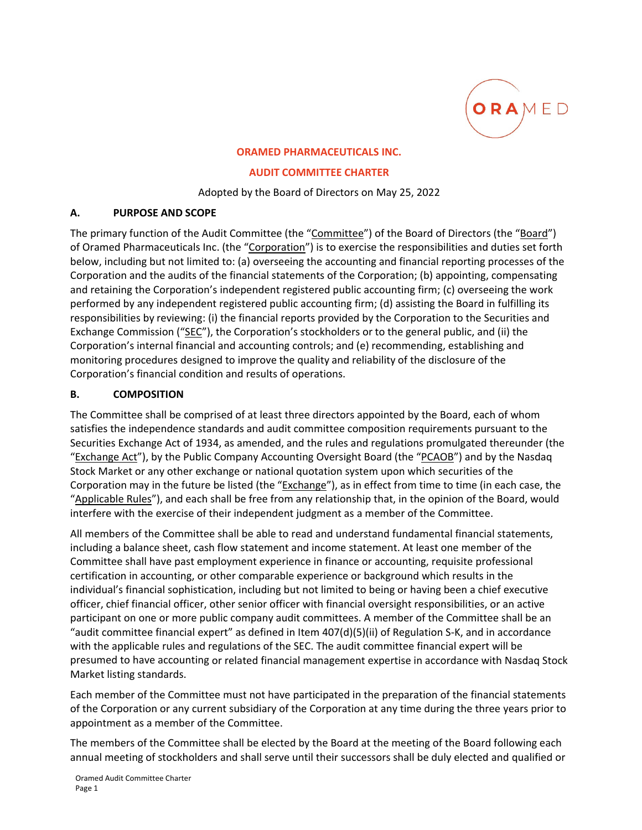

#### **ORAMED PHARMACEUTICALS INC.**

#### **AUDIT COMMITTEE CHARTER**

#### Adopted by the Board of Directors on May 25, 2022

### **A. PURPOSE AND SCOPE**

The primary function of the Audit Committee (the "Committee") of the Board of Directors (the "Board") of Oramed Pharmaceuticals Inc. (the "Corporation") is to exercise the responsibilities and duties set forth below, including but not limited to: (a) overseeing the accounting and financial reporting processes of the Corporation and the audits of the financial statements of the Corporation; (b) appointing, compensating and retaining the Corporation's independent registered public accounting firm; (c) overseeing the work performed by any independent registered public accounting firm; (d) assisting the Board in fulfilling its responsibilities by reviewing: (i) the financial reports provided by the Corporation to the Securities and Exchange Commission ("SEC"), the Corporation's stockholders or to the general public, and (ii) the Corporation's internal financial and accounting controls; and (e) recommending, establishing and monitoring procedures designed to improve the quality and reliability of the disclosure of the Corporation's financial condition and results of operations.

## **B. COMPOSITION**

The Committee shall be comprised of at least three directors appointed by the Board, each of whom satisfies the independence standards and audit committee composition requirements pursuant to the Securities Exchange Act of 1934, as amended, and the rules and regulations promulgated thereunder (the "Exchange Act"), by the Public Company Accounting Oversight Board (the "PCAOB") and by the Nasdaq Stock Market or any other exchange or national quotation system upon which securities of the Corporation may in the future be listed (the "Exchange"), as in effect from time to time (in each case, the "Applicable Rules"), and each shall be free from any relationship that, in the opinion of the Board, would interfere with the exercise of their independent judgment as a member of the Committee.

All members of the Committee shall be able to read and understand fundamental financial statements, including a balance sheet, cash flow statement and income statement. At least one member of the Committee shall have past employment experience in finance or accounting, requisite professional certification in accounting, or other comparable experience or background which results in the individual's financial sophistication, including but not limited to being or having been a chief executive officer, chief financial officer, other senior officer with financial oversight responsibilities, or an active participant on one or more public company audit committees. A member of the Committee shall be an "audit committee financial expert" as defined in Item 407(d)(5)(ii) of Regulation S‐K, and in accordance with the applicable rules and regulations of the SEC. The audit committee financial expert will be presumed to have accounting or related financial management expertise in accordance with Nasdaq Stock Market listing standards.

Each member of the Committee must not have participated in the preparation of the financial statements of the Corporation or any current subsidiary of the Corporation at any time during the three years prior to appointment as a member of the Committee.

The members of the Committee shall be elected by the Board at the meeting of the Board following each annual meeting of stockholders and shall serve until their successors shall be duly elected and qualified or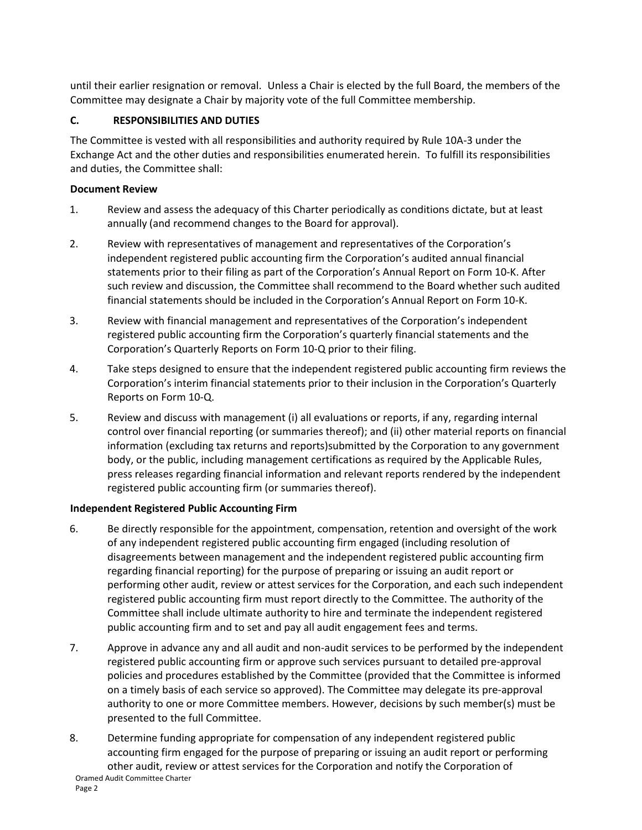until their earlier resignation or removal. Unless a Chair is elected by the full Board, the members of the Committee may designate a Chair by majority vote of the full Committee membership.

# **C. RESPONSIBILITIES AND DUTIES**

The Committee is vested with all responsibilities and authority required by Rule 10A‐3 under the Exchange Act and the other duties and responsibilities enumerated herein. To fulfill its responsibilities and duties, the Committee shall:

## **Document Review**

- 1. Review and assess the adequacy of this Charter periodically as conditions dictate, but at least annually (and recommend changes to the Board for approval).
- 2. Review with representatives of management and representatives of the Corporation's independent registered public accounting firm the Corporation's audited annual financial statements prior to their filing as part of the Corporation's Annual Report on Form 10‐K. After such review and discussion, the Committee shall recommend to the Board whether such audited financial statements should be included in the Corporation's Annual Report on Form 10‐K.
- 3. Review with financial management and representatives of the Corporation's independent registered public accounting firm the Corporation's quarterly financial statements and the Corporation's Quarterly Reports on Form 10‐Q prior to their filing.
- 4. Take steps designed to ensure that the independent registered public accounting firm reviews the Corporation's interim financial statements prior to their inclusion in the Corporation's Quarterly Reports on Form 10‐Q.
- 5. Review and discuss with management (i) all evaluations or reports, if any, regarding internal control over financial reporting (or summaries thereof); and (ii) other material reports on financial information (excluding tax returns and reports)submitted by the Corporation to any government body, or the public, including management certifications as required by the Applicable Rules, press releases regarding financial information and relevant reports rendered by the independent registered public accounting firm (or summaries thereof).

### **Independent Registered Public Accounting Firm**

- 6. Be directly responsible for the appointment, compensation, retention and oversight of the work of any independent registered public accounting firm engaged (including resolution of disagreements between management and the independent registered public accounting firm regarding financial reporting) for the purpose of preparing or issuing an audit report or performing other audit, review or attest services for the Corporation, and each such independent registered public accounting firm must report directly to the Committee. The authority of the Committee shall include ultimate authority to hire and terminate the independent registered public accounting firm and to set and pay all audit engagement fees and terms.
- 7. Approve in advance any and all audit and non‐audit services to be performed by the independent registered public accounting firm or approve such services pursuant to detailed pre‐approval policies and procedures established by the Committee (provided that the Committee is informed on a timely basis of each service so approved). The Committee may delegate its pre‐approval authority to one or more Committee members. However, decisions by such member(s) must be presented to the full Committee.
- Oramed Audit Committee Charter 8. Determine funding appropriate for compensation of any independent registered public accounting firm engaged for the purpose of preparing or issuing an audit report or performing other audit, review or attest services for the Corporation and notify the Corporation of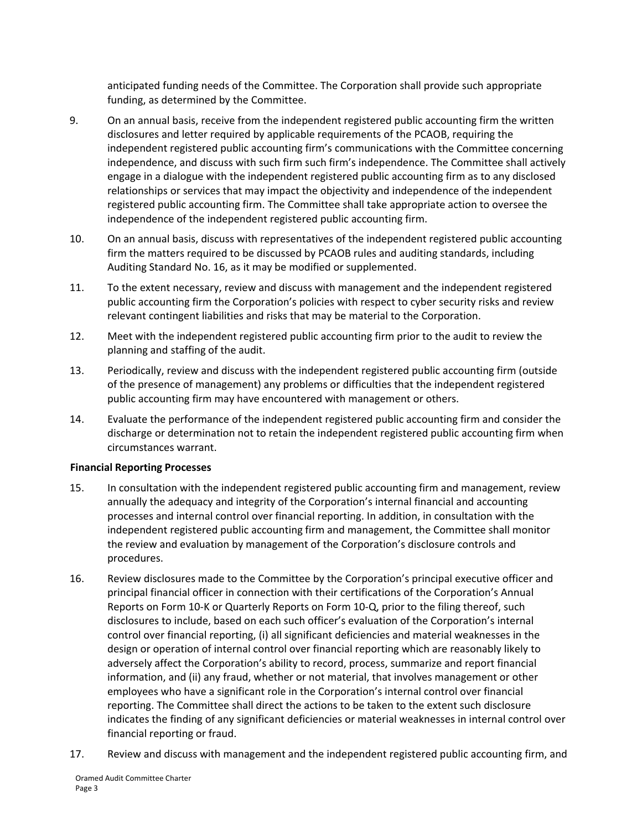anticipated funding needs of the Committee. The Corporation shall provide such appropriate funding, as determined by the Committee.

- 9. On an annual basis, receive from the independent registered public accounting firm the written disclosures and letter required by applicable requirements of the PCAOB, requiring the independent registered public accounting firm's communications with the Committee concerning independence, and discuss with such firm such firm's independence. The Committee shall actively engage in a dialogue with the independent registered public accounting firm as to any disclosed relationships or services that may impact the objectivity and independence of the independent registered public accounting firm. The Committee shall take appropriate action to oversee the independence of the independent registered public accounting firm.
- 10. On an annual basis, discuss with representatives of the independent registered public accounting firm the matters required to be discussed by PCAOB rules and auditing standards, including Auditing Standard No. 16, as it may be modified or supplemented.
- 11. To the extent necessary, review and discuss with management and the independent registered public accounting firm the Corporation's policies with respect to cyber security risks and review relevant contingent liabilities and risks that may be material to the Corporation.
- 12. Meet with the independent registered public accounting firm prior to the audit to review the planning and staffing of the audit.
- 13. Periodically, review and discuss with the independent registered public accounting firm (outside of the presence of management) any problems or difficulties that the independent registered public accounting firm may have encountered with management or others.
- 14. Evaluate the performance of the independent registered public accounting firm and consider the discharge or determination not to retain the independent registered public accounting firm when circumstances warrant.

#### **Financial Reporting Processes**

- 15. In consultation with the independent registered public accounting firm and management, review annually the adequacy and integrity of the Corporation's internal financial and accounting processes and internal control over financial reporting. In addition, in consultation with the independent registered public accounting firm and management, the Committee shall monitor the review and evaluation by management of the Corporation's disclosure controls and procedures.
- 16. Review disclosures made to the Committee by the Corporation's principal executive officer and principal financial officer in connection with their certifications of the Corporation's Annual Reports on Form 10‐K or Quarterly Reports on Form 10‐Q, prior to the filing thereof, such disclosures to include, based on each such officer's evaluation of the Corporation's internal control over financial reporting, (i) all significant deficiencies and material weaknesses in the design or operation of internal control over financial reporting which are reasonably likely to adversely affect the Corporation's ability to record, process, summarize and report financial information, and (ii) any fraud, whether or not material, that involves management or other employees who have a significant role in the Corporation's internal control over financial reporting. The Committee shall direct the actions to be taken to the extent such disclosure indicates the finding of any significant deficiencies or material weaknesses in internal control over financial reporting or fraud.
- 17. Review and discuss with management and the independent registered public accounting firm, and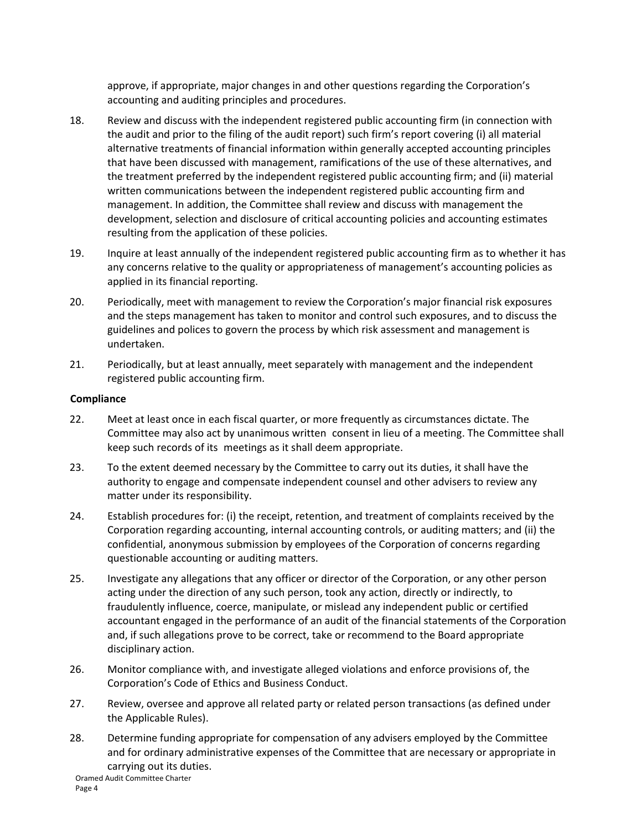approve, if appropriate, major changes in and other questions regarding the Corporation's accounting and auditing principles and procedures.

- 18. Review and discuss with the independent registered public accounting firm (in connection with the audit and prior to the filing of the audit report) such firm's report covering (i) all material alternative treatments of financial information within generally accepted accounting principles that have been discussed with management, ramifications of the use of these alternatives, and the treatment preferred by the independent registered public accounting firm; and (ii) material written communications between the independent registered public accounting firm and management. In addition, the Committee shall review and discuss with management the development, selection and disclosure of critical accounting policies and accounting estimates resulting from the application of these policies.
- 19. Inquire at least annually of the independent registered public accounting firm as to whether it has any concerns relative to the quality or appropriateness of management's accounting policies as applied in its financial reporting.
- 20. Periodically, meet with management to review the Corporation's major financial risk exposures and the steps management has taken to monitor and control such exposures, and to discuss the guidelines and polices to govern the process by which risk assessment and management is undertaken.
- 21. Periodically, but at least annually, meet separately with management and the independent registered public accounting firm.

### **Compliance**

- 22. Meet at least once in each fiscal quarter, or more frequently as circumstances dictate. The Committee may also act by unanimous written consent in lieu of a meeting. The Committee shall keep such records of its meetings as it shall deem appropriate.
- 23. To the extent deemed necessary by the Committee to carry out its duties, it shall have the authority to engage and compensate independent counsel and other advisers to review any matter under its responsibility.
- 24. Establish procedures for: (i) the receipt, retention, and treatment of complaints received by the Corporation regarding accounting, internal accounting controls, or auditing matters; and (ii) the confidential, anonymous submission by employees of the Corporation of concerns regarding questionable accounting or auditing matters.
- 25. Investigate any allegations that any officer or director of the Corporation, or any other person acting under the direction of any such person, took any action, directly or indirectly, to fraudulently influence, coerce, manipulate, or mislead any independent public or certified accountant engaged in the performance of an audit of the financial statements of the Corporation and, if such allegations prove to be correct, take or recommend to the Board appropriate disciplinary action.
- 26. Monitor compliance with, and investigate alleged violations and enforce provisions of, the Corporation's Code of Ethics and Business Conduct.
- 27. Review, oversee and approve all related party or related person transactions (as defined under the Applicable Rules).
- Oramed Audit Committee Charter 28. Determine funding appropriate for compensation of any advisers employed by the Committee and for ordinary administrative expenses of the Committee that are necessary or appropriate in carrying out its duties.